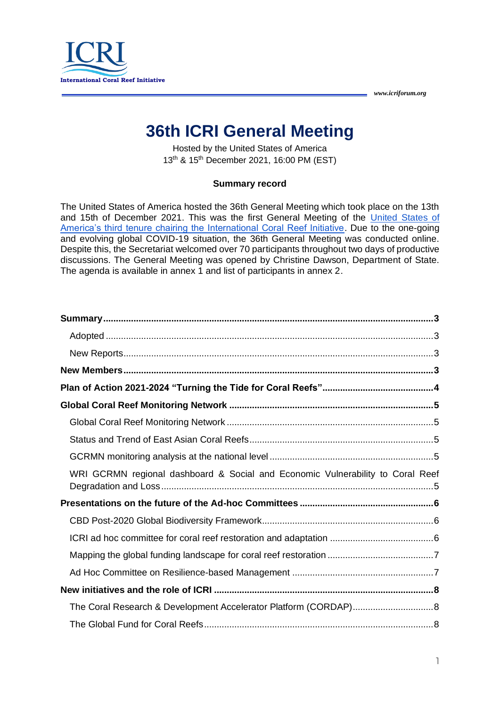

# **36th ICRI General Meeting**

Hosted by the United States of America 13th & 15th December 2021, 16:00 PM (EST)

#### **Summary record**

The United States of America hosted the 36th General Meeting which took place on the 13th and 15th of December 2021. This was the first General Meeting of the [United States of](https://www.icriforum.org/secretariats/the-united-states-of-america-secretariat-2021/)  [America's third tenure chairing the International Coral Reef Initiative.](https://www.icriforum.org/secretariats/the-united-states-of-america-secretariat-2021/) Due to the one-going and evolving global COVID-19 situation, the 36th General Meeting was conducted online. Despite this, the Secretariat welcomed over 70 participants throughout two days of productive discussions. The General Meeting was opened by Christine Dawson, Department of State. The agenda is available in annex 1 and list of participants in annex 2.

| WRI GCRMN regional dashboard & Social and Economic Vulnerability to Coral Reef |  |
|--------------------------------------------------------------------------------|--|
|                                                                                |  |
|                                                                                |  |
|                                                                                |  |
|                                                                                |  |
|                                                                                |  |
|                                                                                |  |
| The Coral Research & Development Accelerator Platform (CORDAP)8                |  |
|                                                                                |  |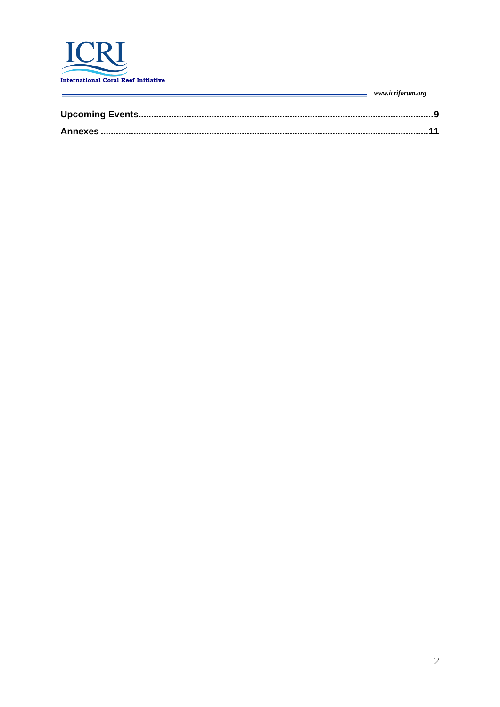

| www.icriforum.org |
|-------------------|
|                   |
|                   |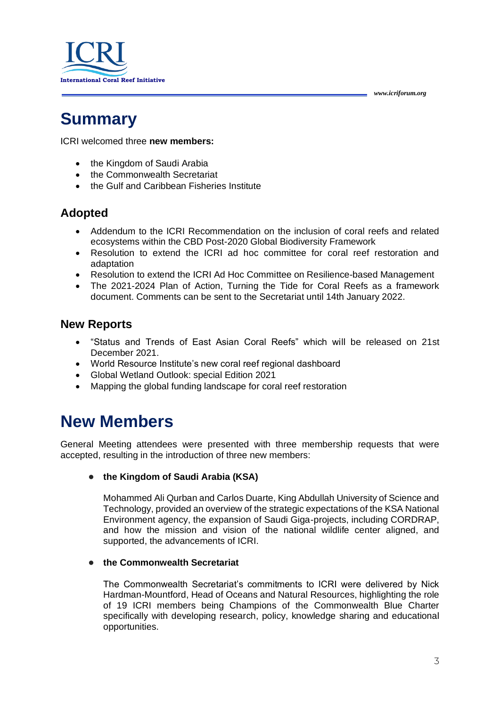

# <span id="page-2-0"></span>**Summary**

ICRI welcomed three **new members:**

- the Kingdom of Saudi Arabia
- the Commonwealth Secretariat
- the Gulf and Caribbean Fisheries Institute

## <span id="page-2-1"></span>**Adopted**

- Addendum to the ICRI Recommendation on the inclusion of coral reefs and related ecosystems within the CBD Post-2020 Global Biodiversity Framework
- Resolution to extend the ICRI ad hoc committee for coral reef restoration and adaptation
- Resolution to extend the ICRI Ad Hoc Committee on Resilience-based Management
- The 2021-2024 Plan of Action, Turning the Tide for Coral Reefs as a framework document. Comments can be sent to the Secretariat until 14th January 2022.

### <span id="page-2-2"></span>**New Reports**

- "Status and Trends of East Asian Coral Reefs" which will be released on 21st December 2021.
- World Resource Institute's new coral reef regional dashboard
- Global Wetland Outlook: special Edition 2021
- Mapping the global funding landscape for coral reef restoration

# <span id="page-2-3"></span>**New Members**

General Meeting attendees were presented with three membership requests that were accepted, resulting in the introduction of three new members:

#### ● **the Kingdom of Saudi Arabia (KSA)**

Mohammed Ali Qurban and Carlos Duarte, King Abdullah University of Science and Technology, provided an overview of the strategic expectations of the KSA National Environment agency, the expansion of Saudi Giga-projects, including CORDRAP, and how the mission and vision of the national wildlife center aligned, and supported, the advancements of ICRI.

### ● **the Commonwealth Secretariat**

The Commonwealth Secretariat's commitments to ICRI were delivered by Nick Hardman-Mountford, Head of Oceans and Natural Resources, highlighting the role of 19 ICRI members being Champions of the Commonwealth Blue Charter specifically with developing research, policy, knowledge sharing and educational opportunities.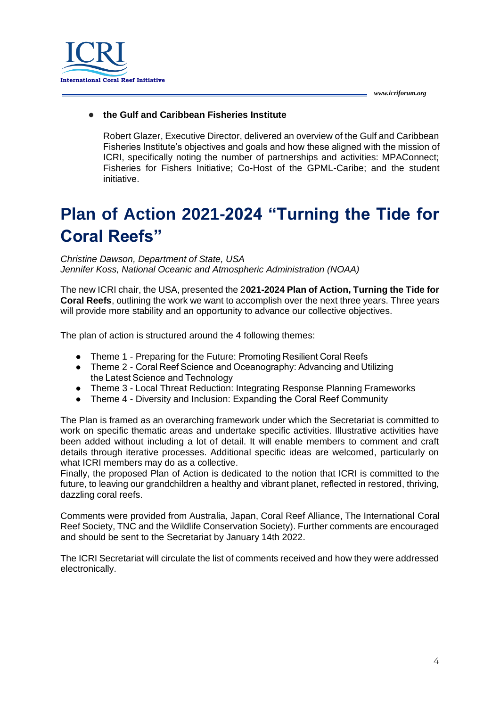



### ● **the Gulf and Caribbean Fisheries Institute**

Robert Glazer, Executive Director, delivered an overview of the Gulf and Caribbean Fisheries Institute's objectives and goals and how these aligned with the mission of ICRI, specifically noting the number of partnerships and activities: MPAConnect; Fisheries for Fishers Initiative; Co-Host of the GPML-Caribe; and the student initiative.

# <span id="page-3-0"></span>**Plan of Action 2021-2024 "Turning the Tide for Coral Reefs"**

*Christine Dawson, Department of State, USA Jennifer Koss, National Oceanic and Atmospheric Administration (NOAA)*

The new ICRI chair, the USA, presented the 2**021-2024 Plan of Action, Turning the Tide for Coral Reefs**, outlining the work we want to accomplish over the next three years. Three years will provide more stability and an opportunity to advance our collective objectives.

The plan of action is structured around the 4 following themes:

- Theme 1 Preparing for the Future: Promoting Resilient Coral Reefs
- Theme 2 Coral Reef Science and Oceanography: Advancing and Utilizing the Latest Science and Technology
- Theme 3 Local Threat Reduction: Integrating Response Planning Frameworks
- Theme 4 Diversity and Inclusion: Expanding the Coral Reef Community

The Plan is framed as an overarching framework under which the Secretariat is committed to work on specific thematic areas and undertake specific activities. Illustrative activities have been added without including a lot of detail. It will enable members to comment and craft details through iterative processes. Additional specific ideas are welcomed, particularly on what ICRI members may do as a collective.

Finally, the proposed Plan of Action is dedicated to the notion that ICRI is committed to the future, to leaving our grandchildren a healthy and vibrant planet, reflected in restored, thriving, dazzling coral reefs.

Comments were provided from Australia, Japan, Coral Reef Alliance, The International Coral Reef Society, TNC and the Wildlife Conservation Society). Further comments are encouraged and should be sent to the Secretariat by January 14th 2022.

The ICRI Secretariat will circulate the list of comments received and how they were addressed electronically.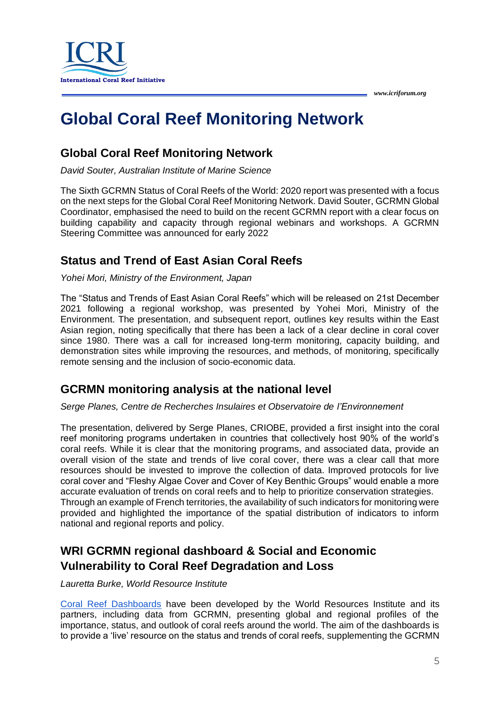

# <span id="page-4-0"></span>**Global Coral Reef Monitoring Network**

# <span id="page-4-1"></span>**Global Coral Reef Monitoring Network**

*David Souter, Australian Institute of Marine Science*

The Sixth GCRMN Status of Coral Reefs of the World: 2020 report was presented with a focus on the next steps for the Global Coral Reef Monitoring Network. David Souter, GCRMN Global Coordinator, emphasised the need to build on the recent GCRMN report with a clear focus on building capability and capacity through regional webinars and workshops. A GCRMN Steering Committee was announced for early 2022

# <span id="page-4-2"></span>**Status and Trend of East Asian Coral Reefs**

### *Yohei Mori, Ministry of the Environment, Japan*

The "Status and Trends of East Asian Coral Reefs" which will be released on 21st December 2021 following a regional workshop, was presented by Yohei Mori, Ministry of the Environment. The presentation, and subsequent report, outlines key results within the East Asian region, noting specifically that there has been a lack of a clear decline in coral cover since 1980. There was a call for increased long-term monitoring, capacity building, and demonstration sites while improving the resources, and methods, of monitoring, specifically remote sensing and the inclusion of socio-economic data.

## <span id="page-4-3"></span>**GCRMN monitoring analysis at the national level**

*Serge Planes, Centre de Recherches Insulaires et Observatoire de l'Environnement*

The presentation, delivered by Serge Planes, CRIOBE, provided a first insight into the coral reef monitoring programs undertaken in countries that collectively host 90% of the world's coral reefs. While it is clear that the monitoring programs, and associated data, provide an overall vision of the state and trends of live coral cover, there was a clear call that more resources should be invested to improve the collection of data. Improved protocols for live coral cover and "Fleshy Algae Cover and Cover of Key Benthic Groups" would enable a more accurate evaluation of trends on coral reefs and to help to prioritize conservation strategies. Through an example of French territories, the availability of such indicators for monitoring were provided and highlighted the importance of the spatial distribution of indicators to inform national and regional reports and policy.

# <span id="page-4-4"></span>**WRI GCRMN regional dashboard & Social and Economic Vulnerability to Coral Reef Degradation and Loss**

*Lauretta Burke, World Resource Institute*

[Coral Reef Dashboards](https://resourcewatch.org/embed/dashboard/coral-reef-dashboards) have been developed by the [World Resources Institute](https://www.wri.org/) and its partners, including data from GCRMN, presenting global and regional profiles of the importance, status, and outlook of coral reefs around the world. The aim of the dashboards is to provide a 'live' resource on the status and trends of coral reefs, supplementing the GCRMN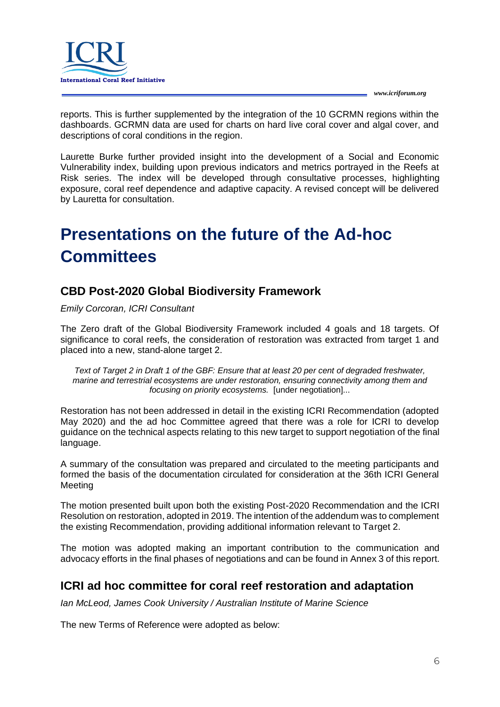

reports. This is further supplemented by the integration of the 10 GCRMN regions within the dashboards. GCRMN data are used for charts on hard live coral cover and algal cover, and descriptions of coral conditions in the region.

Laurette Burke further provided insight into the development of a Social and Economic Vulnerability index, building upon previous indicators and metrics portrayed in the Reefs at Risk series. The index will be developed through consultative processes, highlighting exposure, coral reef dependence and adaptive capacity. A revised concept will be delivered by Lauretta for consultation.

# <span id="page-5-0"></span>**Presentations on the future of the Ad-hoc Committees**

# <span id="page-5-1"></span>**CBD Post-2020 Global Biodiversity Framework**

### *Emily Corcoran, ICRI Consultant*

The Zero draft of the Global Biodiversity Framework included 4 goals and 18 targets. Of significance to coral reefs, the consideration of restoration was extracted from target 1 and placed into a new, stand-alone target 2.

*Text of Target 2 in Draft 1 of the GBF: Ensure that at least 20 per cent of degraded freshwater, marine and terrestrial ecosystems are under restoration, ensuring connectivity among them and focusing on priority ecosystems.* [under negotiation]...

Restoration has not been addressed in detail in the existing ICRI Recommendation (adopted May 2020) and the ad hoc Committee agreed that there was a role for ICRI to develop guidance on the technical aspects relating to this new target to support negotiation of the final language.

A summary of the consultation was prepared and circulated to the meeting participants and formed the basis of the documentation circulated for consideration at the 36th ICRI General Meeting

The motion presented built upon both the existing Post-2020 Recommendation and the ICRI Resolution on restoration, adopted in 2019. The intention of the addendum was to complement the existing Recommendation, providing additional information relevant to Target 2.

The motion was adopted making an important contribution to the communication and advocacy efforts in the final phases of negotiations and can be found in Annex 3 of this report.

# <span id="page-5-2"></span>**ICRI ad hoc committee for coral reef restoration and adaptation**

*Ian McLeod, James Cook University / Australian Institute of Marine Science*

The new Terms of Reference were adopted as below: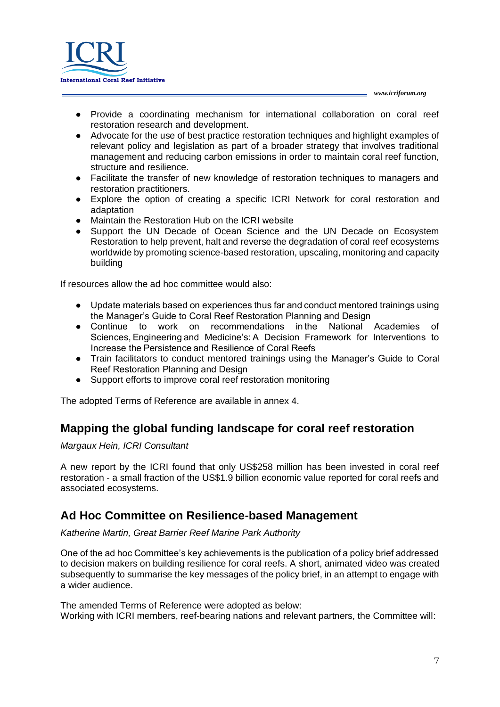

- Provide a coordinating mechanism for international collaboration on coral reef restoration research and development.
- Advocate for the use of best practice restoration techniques and highlight examples of relevant policy and legislation as part of a broader strategy that involves traditional management and reducing carbon emissions in order to maintain coral reef function, structure and resilience.
- Facilitate the transfer of new knowledge of restoration techniques to managers and restoration practitioners.
- Explore the option of creating a specific ICRI Network for coral restoration and adaptation
- Maintain the Restoration Hub on the ICRI website
- Support the UN Decade of Ocean Science and the UN Decade on Ecosystem Restoration to help prevent, halt and reverse the degradation of coral reef ecosystems worldwide by promoting science-based restoration, upscaling, monitoring and capacity building

If resources allow the ad hoc committee would also:

- Update materials based on experiences thus far and conduct mentored trainings using the Manager's Guide to Coral Reef Restoration Planning and Design
- Continue to work on recommendations in the National Academies of Sciences, Engineering and Medicine's: A Decision Framework for Interventions to Increase the Persistence and Resilience of Coral Reefs
- Train facilitators to conduct mentored trainings using the Manager's Guide to Coral Reef Restoration Planning and Design
- Support efforts to improve coral reef restoration monitoring

<span id="page-6-0"></span>The adopted Terms of Reference are available in annex 4.

# **Mapping the global funding landscape for coral reef restoration**

*Margaux Hein, ICRI Consultant*

A [new](https://d2ly-s04.na1.hubspotlinks.com/Btc/I7+113/d2ly-s04/VWPJFg8DftWzW7XtVjc47YVB_W74N_GZ4BTWjSN1-yX-t5knJ3V3Zsc37CgB8dW5crpXC3rJ60lW2n_mlQ415HLgW1jydfC8D3NNcVq5pq_1ZYFBQW39rVzb9cw7DvW1P9HwB1TZNh9W2-7xVb2Yg40rN7t6HKY3BMgrW1RK32X2bkgpQW4TVNTt20sCcHW2P7P2c4sQp_mW30nXfb6ZqhKyN2s26KgGJMXdW2D0lgT8cm-b1W47wqn58W1FsXW71mP055SgmJ4W2p3fqj65_3cwW6-ZG089ghySvW48Wh1K1rFktkN8JfvxpFc-lzW1CmLYk37RqKJW358Dn25bpH6zW8nSS5947vZ_XW2s6x3S2kNn_tW4Q6qmx78wMx1W2VmD1c2rMnBjW5p1hrx2RL0-7N39DD3pPYbf1W4crnbl9kH8Y2W4bzLJC1jMYGSW4pZWvH1lb3XkW2vtCqr6h1ZPZ35gg1) [report](https://d2ly-s04.na1.hubspotlinks.com/Btc/I7+113/d2ly-s04/VWPJFg8DftWzW7XtVjc47YVB_W74N_GZ4BTWjSN1-yX-t5knJ3V3Zsc37CgHFRW5rWH4z2Bq4H9W63f-Nx1WCV-QW7FJx3z2l94ZkN1Z2yTt568RNW2gmKCt4k3QzyW8b7T7h2WZ71-W475R_B3bzsLPW6TQ61Q1PlrQdW5w5DB11bpJG0W70Ryf46w95F7W7PYqpg1N5DtPVjcbZ13-kcWmW8WWLlZ26JLTcW41T9G6187NLsW5KtN8099HbBpN7xWmJksRxfTW8YVK0-5XRRVYW61jlXx39FLc7W13Kp0R8YkYnnW2L-pdm3SMJcmN5gl_nv4dr2sW8dVRF164YlzvW6GBFbB8pFkbqW8BZM0y5BDgG_W8LrSth57Gt46N4hqWyYhgXJGW4mmdj-4GC461W3Dp3WD3nkJGwVlvynt1pFjD_W7StvFk2WkX7zN9k4XyCyffj2V9X6kc1BtJcC33y61) by the [ICRI](https://d2ly-s04.na1.hubspotlinks.com/Btc/I7+113/d2ly-s04/VWPJFg8DftWzW7XtVjc47YVB_W74N_GZ4BTWjSN1-yX_33lSbtV1-WJV7CgZL_W8LB-bQ7nmQn9W1YytXW4tdDFkW6lv1r435kgyBW2wxmnz4g-h0fW1nKzVp7csXP4W68ScxQ4VLVjyN30nlJz98dFQW4BTm1t1B391KW2d9j8S1kbfTxN4J3dwHLHgq-W6z26k26k5WMrMV-qj219PvVW5dWsCH737wNYW86M5NH60rDVwW1kYdKq8Hvc6qVp9Dtt9dhp--W8mjy-W7zXrDnW7J7fgp3hPddxW66xL5F35g2S_W1F-NDQ2XRZp93hWK1) found that only US\$258 million has been invested in coral reef restoration - a small fraction of the US\$1.9 billion economic value reported for coral reefs and associated ecosystems.

## <span id="page-6-1"></span>**Ad Hoc Committee on Resilience-based Management**

*Katherine Martin, Great Barrier Reef Marine Park Authority*

One of the ad hoc Committee's key achievements is the publication of a policy brief addressed to decision makers on building resilience for coral reefs. A short, animated video was created subsequently to summarise the key messages of the policy brief, in an attempt to engage with a wider audience.

The amended Terms of Reference were adopted as below: Working with ICRI members, reef-bearing nations and relevant partners, the Committee will: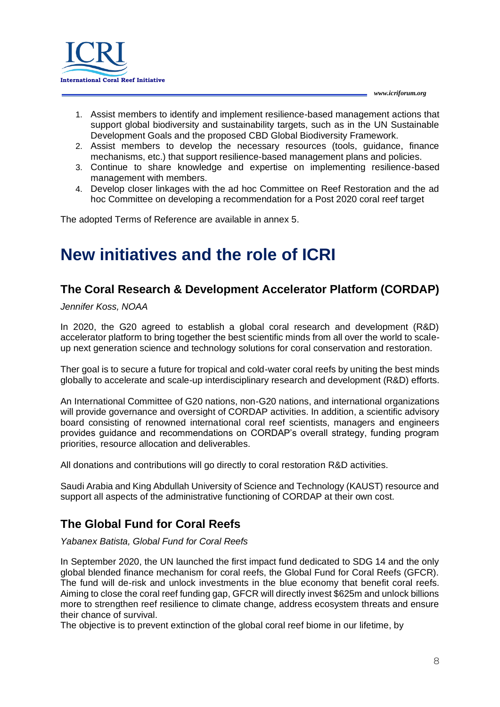

- 1. Assist members to identify and implement resilience-based management actions that support global biodiversity and sustainability targets, such as in the UN Sustainable Development Goals and the proposed CBD Global Biodiversity Framework.
- 2. Assist members to develop the necessary resources (tools, guidance, finance mechanisms, etc.) that support resilience-based management plans and policies.
- 3. Continue to share knowledge and expertise on implementing resilience-based management with members.
- 4. Develop closer linkages with the ad hoc Committee on Reef Restoration and the ad hoc Committee on developing a recommendation for a Post 2020 coral reef target

<span id="page-7-0"></span>The adopted Terms of Reference are available in annex 5.

# **New initiatives and the role of ICRI**

## <span id="page-7-1"></span>**The Coral Research & Development Accelerator Platform (CORDAP)**

*Jennifer Koss, NOAA*

In 2020, the G20 agreed to establish a global coral research and development (R&D) accelerator platform to bring together the best scientific minds from all over the world to scaleup next generation science and technology solutions for coral conservation and restoration.

Ther goal is to secure a future for tropical and cold-water coral reefs by uniting the best minds globally to accelerate and scale-up interdisciplinary research and development (R&D) efforts.

An International Committee of G20 nations, non-G20 nations, and international organizations will provide governance and oversight of CORDAP activities. In addition, a scientific advisory board consisting of renowned international coral reef scientists, managers and engineers provides guidance and recommendations on CORDAP's overall strategy, funding program priorities, resource allocation and deliverables.

All donations and contributions will go directly to coral restoration R&D activities.

Saudi Arabia and King Abdullah University of Science and Technology (KAUST) resource and support all aspects of the administrative functioning of CORDAP at their own cost.

# <span id="page-7-2"></span>**The Global Fund for Coral Reefs**

*Yabanex Batista, Global Fund for Coral Reefs*

In September 2020, the UN launched the first impact fund dedicated to SDG 14 and the only global blended finance mechanism for coral reefs, the Global Fund for Coral Reefs (GFCR). The fund will de-risk and unlock investments in the blue economy that benefit coral reefs. Aiming to close the coral reef funding gap, GFCR will directly invest \$625m and unlock billions more to strengthen reef resilience to climate change, address ecosystem threats and ensure their chance of survival.

The objective is to prevent extinction of the global coral reef biome in our lifetime, by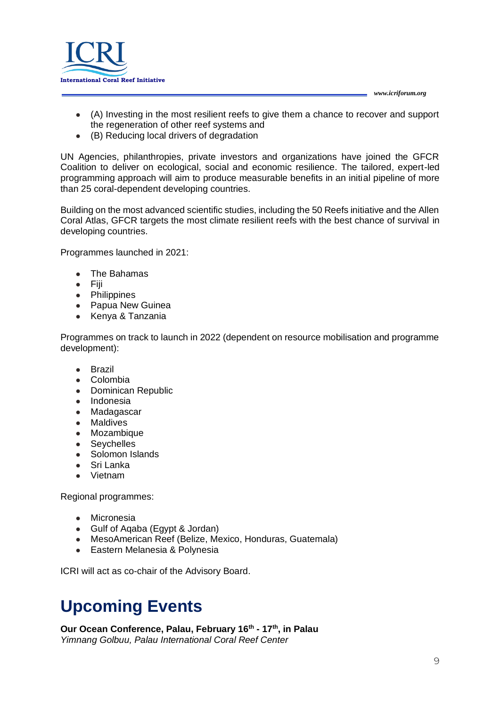

- (A) Investing in the most resilient reefs to give them a chance to recover and support the regeneration of other reef systems and
- (B) Reducing local drivers of degradation

UN Agencies, philanthropies, private investors and organizations have joined the GFCR Coalition to deliver on ecological, social and economic resilience. The tailored, expert-led programming approach will aim to produce measurable benefits in an initial pipeline of more than 25 coral-dependent developing countries.

Building on the most advanced scientific studies, including the 50 Reefs initiative and the Allen Coral Atlas, GFCR targets the most climate resilient reefs with the best chance of survival in developing countries.

Programmes launched in 2021:

- The Bahamas
- Fiji
- Philippines
- Papua New Guinea
- Kenya & Tanzania

Programmes on track to launch in 2022 (dependent on resource mobilisation and programme development):

- Brazil
- Colombia
- Dominican Republic
- Indonesia
- Madagascar
- Maldives
- Mozambique
- Seychelles
- Solomon Islands
- Sri Lanka
- Vietnam

Regional programmes:

- Micronesia
- Gulf of Aqaba (Egypt & Jordan)
- MesoAmerican Reef (Belize, Mexico, Honduras, Guatemala)
- Eastern Melanesia & Polynesia

<span id="page-8-0"></span>ICRI will act as co-chair of the Advisory Board.

# **Upcoming Events**

#### **[Our Ocean Conference, Palau,](https://ourocean2022.pw/) February 16th - 17th, in Palau** *Yimnang Golbuu, Palau International Coral Reef Center*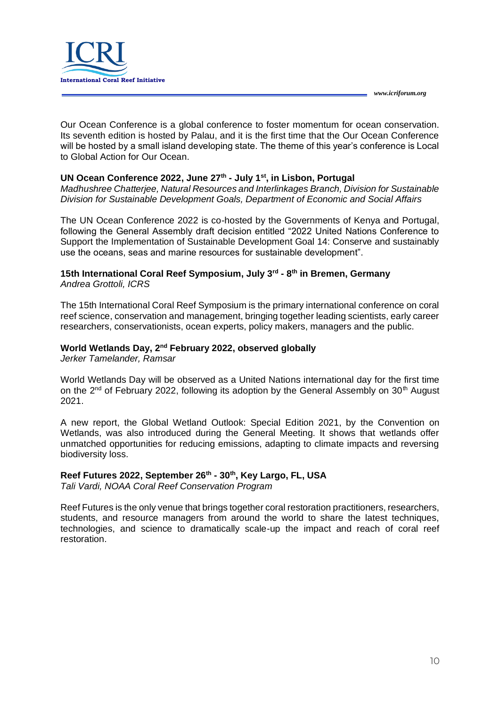

Our Ocean Conference is a global conference to foster momentum for ocean conservation. Its seventh edition is hosted by Palau, and it is the first time that the Our Ocean Conference will be hosted by a small island developing state. The theme of this year's conference is Local to Global Action for Our Ocean.

### **[UN Ocean Conference 2022,](https://www.un.org/en/conferences/ocean2022) June 27th - July 1st, in Lisbon, Portugal**

*Madhushree Chatterjee, Natural Resources and Interlinkages Branch, Division for Sustainable Division for Sustainable Development Goals, Department of Economic and Social Affairs*

The UN Ocean Conference 2022 is co-hosted by the Governments of Kenya and Portugal, following the General Assembly draft decision entitled "2022 United Nations Conference to Support the Implementation of Sustainable Development Goal 14: Conserve and sustainably use the oceans, seas and marine resources for sustainable development".

#### **[15th International Coral Reef Symposium,](https://www.icrs2022.de/) July 3rd - 8 th in Bremen, Germany** *Andrea Grottoli, ICRS*

The 15th International Coral Reef Symposium is the primary international conference on coral reef science, conservation and management, bringing together leading scientists, early career researchers, conservationists, ocean experts, policy makers, managers and the public.

#### [World Wetlands Day, 2](https://www.worldwetlandsday.org/)<sup>nd</sup> February 2022, observed globally

*Jerker Tamelander, Ramsar*

World Wetlands Day will be observed as a United Nations international day for the first time on the 2<sup>nd</sup> of February 2022, following its adoption by the General Assembly on 30<sup>th</sup> August 2021.

A new [report,](https://www.global-wetland-outlook.ramsar.org/) the Global Wetland Outlook: Special Edition 2021, by the Convention on Wetlands, was also introduced during the General Meeting. It shows that wetlands offer unmatched opportunities for reducing emissions, adapting to climate impacts and reversing biodiversity loss.

### **[Reef Futures 2022,](https://reeffutures.com/coralrestorationconsortium/frontend/reg/thome.csp?pageID=44&eventID=1&traceRedir=2) September 26th - 30th, Key Largo, FL, USA**

*Tali Vardi, NOAA Coral Reef Conservation Program*

Reef Futures is the only venue that brings together coral restoration practitioners, researchers, students, and resource managers from around the world to share the latest techniques, technologies, and science to dramatically scale-up the impact and reach of coral reef restoration.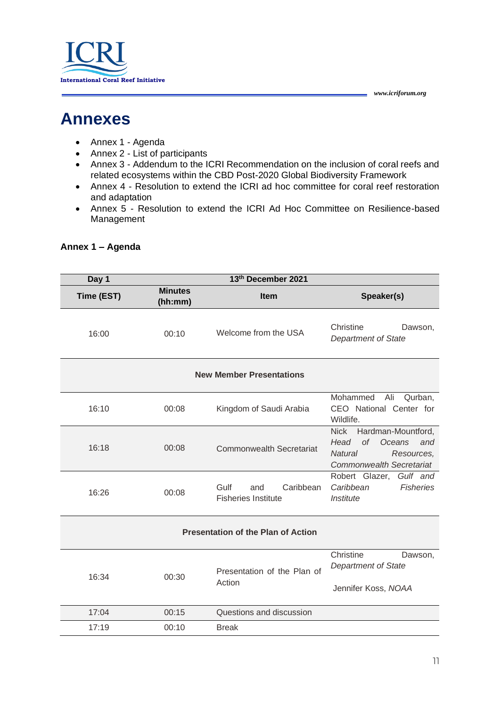

# <span id="page-10-0"></span>**Annexes**

- Annex 1 Agenda
- Annex 2 List of participants
- Annex 3 Addendum to the ICRI Recommendation on the inclusion of coral reefs and related ecosystems within the CBD Post-2020 Global Biodiversity Framework
- Annex 4 Resolution to extend the ICRI ad hoc committee for coral reef restoration and adaptation
- Annex 5 Resolution to extend the ICRI Ad Hoc Committee on Resilience-based Management

| Day 1      |                           | 13th December 2021                                     |                                                                                                                                                   |
|------------|---------------------------|--------------------------------------------------------|---------------------------------------------------------------------------------------------------------------------------------------------------|
| Time (EST) | <b>Minutes</b><br>(hh:mm) | Item                                                   | Speaker(s)                                                                                                                                        |
| 16:00      | 00:10                     | Welcome from the USA                                   | Christine<br>Dawson,<br><b>Department of State</b>                                                                                                |
|            |                           | <b>New Member Presentations</b>                        |                                                                                                                                                   |
| 16:10      | 00:08                     | Kingdom of Saudi Arabia                                | Mohammed<br>Ali<br>Qurban,<br>CEO National Center for<br>Wildlife.                                                                                |
| 16:18      | 00:08                     | <b>Commonwealth Secretariat</b>                        | <b>Nick</b><br>Hardman-Mountford,<br><b>of</b><br>Head<br><b>Oceans</b><br>and<br><b>Natural</b><br>Resources,<br><b>Commonwealth Secretariat</b> |
| 16:26      | 00:08                     | Gulf<br>Caribbean<br>and<br><b>Fisheries Institute</b> | Robert Glazer, Gulf and<br>Caribbean<br><b>Fisheries</b><br>Institute                                                                             |
|            |                           | <b>Presentation of the Plan of Action</b>              |                                                                                                                                                   |
| 16:34      | 00:30                     | Presentation of the Plan of<br>Action                  | Christine<br>Dawson,<br><b>Department of State</b><br>Jennifer Koss, NOAA                                                                         |
| 17:04      | 00:15                     | Questions and discussion                               |                                                                                                                                                   |
| 17:19      | 00:10                     | <b>Break</b>                                           |                                                                                                                                                   |
|            |                           |                                                        |                                                                                                                                                   |

### **Annex 1 – Agenda**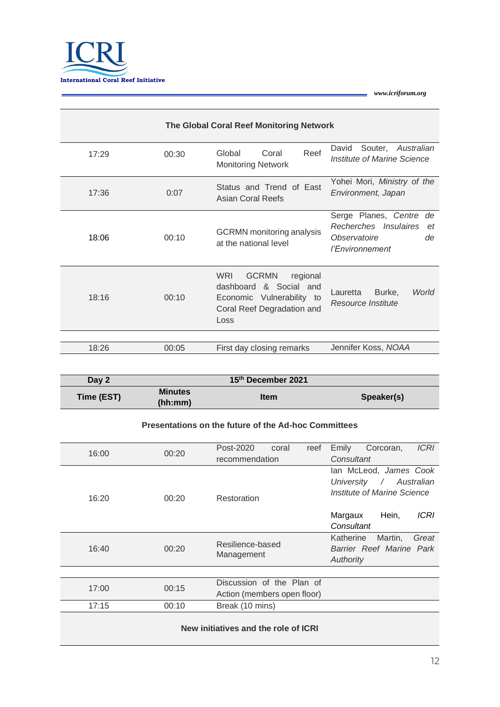

|       |       | The Global Coral Reef Monitoring Network                                                                                               |                                                                                                    |
|-------|-------|----------------------------------------------------------------------------------------------------------------------------------------|----------------------------------------------------------------------------------------------------|
| 17:29 | 00:30 | Reef<br>Global<br>Coral<br><b>Monitoring Network</b>                                                                                   | Souter, Australian<br>David<br>Institute of Marine Science                                         |
| 17:36 | 0:07  | Status and Trend of East<br>Asian Coral Reefs                                                                                          | Yohei Mori, Ministry of the<br>Environment, Japan                                                  |
| 18:06 | 00:10 | <b>GCRMN</b> monitoring analysis<br>at the national level                                                                              | Serge Planes, Centre<br>de<br>Recherches Insulaires<br>et<br>Observatoire<br>de<br>l'Environnement |
| 18:16 | 00:10 | <b>WRI</b><br><b>GCRMN</b><br>regional<br>dashboard<br>& Social and<br>Economic Vulnerability to<br>Coral Reef Degradation and<br>Loss | World<br>Lauretta<br>Burke,<br>Resource Institute                                                  |
|       |       |                                                                                                                                        |                                                                                                    |
| 18:26 | 00:05 | First day closing remarks                                                                                                              | Jennifer Koss, NOAA                                                                                |

| Day 2      |                           | 15th December 2021 |            |
|------------|---------------------------|--------------------|------------|
| Time (EST) | <b>Minutes</b><br>(hh:mm) | <b>Item</b>        | Speaker(s) |

#### **Presentations on the future of the Ad-hoc Committees**

| 16:00 | 00:20 | Post-2020                            | coral | reef | Emily      | Corcoran,                            | <b>ICRI</b> |
|-------|-------|--------------------------------------|-------|------|------------|--------------------------------------|-------------|
|       |       | recommendation                       |       |      | Consultant |                                      |             |
|       |       |                                      |       |      | University | lan McLeod, James Cook<br>$\sqrt{2}$ | Australian  |
| 16:20 | 00:20 | Restoration                          |       |      |            | Institute of Marine Science          |             |
|       |       |                                      |       |      | Margaux    | Hein,                                | <b>ICRI</b> |
|       |       |                                      |       |      | Consultant |                                      |             |
|       |       | Resilience-based                     |       |      | Katherine  | Martin,                              | Great       |
| 16:40 | 00:20 | Management                           |       |      | Authority  | Barrier Reef Marine Park             |             |
|       |       |                                      |       |      |            |                                      |             |
| 17:00 | 00:15 | Discussion of the Plan of            |       |      |            |                                      |             |
|       |       | Action (members open floor)          |       |      |            |                                      |             |
| 17:15 | 00:10 | Break (10 mins)                      |       |      |            |                                      |             |
|       |       |                                      |       |      |            |                                      |             |
|       |       | New initiatives and the role of ICRI |       |      |            |                                      |             |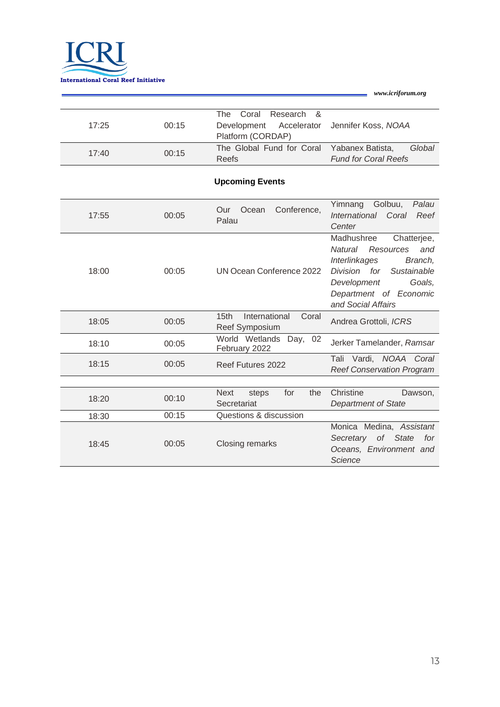

| 17:25 | 00:15 | The Coral Research &<br>Development Accelerator Jennifer Koss, NOAA<br>Platform (CORDAP) |                                                           |
|-------|-------|------------------------------------------------------------------------------------------|-----------------------------------------------------------|
| 17:40 | 00:15 | The Global Fund for Coral<br>Reefs                                                       | Global<br>Yabanex Batista,<br><b>Fund for Coral Reefs</b> |

### **Upcoming Events**

| 17:55 | 00:05 | Conference,<br>Ocean<br>Our<br>Palau                         | Yimnang<br>Golbuu,<br>Palau<br>International Coral<br>Reef<br>Center                                                                                                                         |
|-------|-------|--------------------------------------------------------------|----------------------------------------------------------------------------------------------------------------------------------------------------------------------------------------------|
| 18:00 | 00:05 | UN Ocean Conference 2022                                     | Madhushree<br>Chatterjee,<br>Resources<br>Natural<br>and<br>Interlinkages<br>Branch,<br>Division for<br>Sustainable<br>Development<br>Goals,<br>Department of Economic<br>and Social Affairs |
| 18:05 | 00:05 | International<br>Coral<br>15 <sub>th</sub><br>Reef Symposium | Andrea Grottoli, ICRS                                                                                                                                                                        |
| 18:10 | 00:05 | World Wetlands<br>Day, 02<br>February 2022                   | Jerker Tamelander, Ramsar                                                                                                                                                                    |
| 18:15 | 00:05 | Reef Futures 2022                                            | Tali Vardi, NOAA Coral<br><b>Reef Conservation Program</b>                                                                                                                                   |
|       |       |                                                              |                                                                                                                                                                                              |
| 18:20 | 00:10 | for<br><b>Next</b><br>the<br>steps<br>Secretariat            | Christine<br>Dawson,<br><b>Department of State</b>                                                                                                                                           |
| 18:30 | 00:15 | Questions & discussion                                       |                                                                                                                                                                                              |
| 18:45 | 00:05 | Closing remarks                                              | Monica Medina, Assistant<br>Secretary of State<br>for<br>Oceans, Environment and<br>Science                                                                                                  |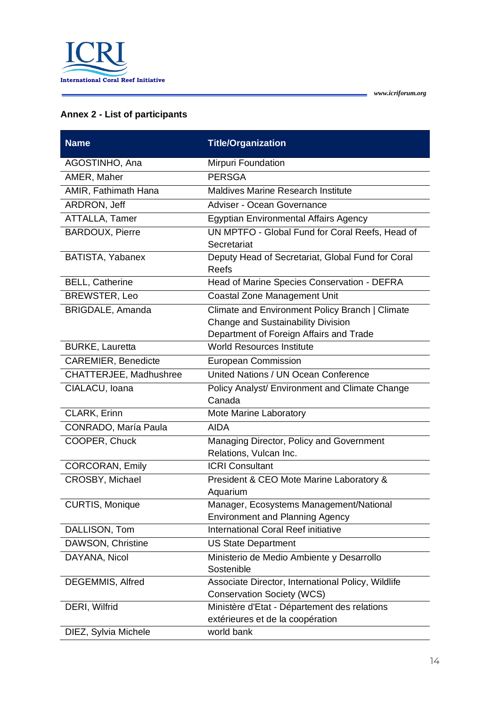

 $\overline{\phantom{0}}$ 

### **Annex 2 - List of participants**

| <b>Name</b>                | <b>Title/Organization</b>                                                               |
|----------------------------|-----------------------------------------------------------------------------------------|
| AGOSTINHO, Ana             | Mirpuri Foundation                                                                      |
| AMER, Maher                | <b>PERSGA</b>                                                                           |
| AMIR, Fathimath Hana       | Maldives Marine Research Institute                                                      |
| ARDRON, Jeff               | Adviser - Ocean Governance                                                              |
| ATTALLA, Tamer             | <b>Egyptian Environmental Affairs Agency</b>                                            |
| <b>BARDOUX, Pierre</b>     | UN MPTFO - Global Fund for Coral Reefs, Head of                                         |
|                            | Secretariat                                                                             |
| BATISTA, Yabanex           | Deputy Head of Secretariat, Global Fund for Coral<br><b>Reefs</b>                       |
| <b>BELL, Catherine</b>     | Head of Marine Species Conservation - DEFRA                                             |
| <b>BREWSTER, Leo</b>       | <b>Coastal Zone Management Unit</b>                                                     |
| BRIGDALE, Amanda           | Climate and Environment Policy Branch   Climate<br>Change and Sustainability Division   |
|                            | Department of Foreign Affairs and Trade                                                 |
| <b>BURKE, Lauretta</b>     | <b>World Resources Institute</b>                                                        |
| <b>CAREMIER, Benedicte</b> | <b>European Commission</b>                                                              |
| CHATTERJEE, Madhushree     | United Nations / UN Ocean Conference                                                    |
| CIALACU, Ioana             | Policy Analyst/ Environment and Climate Change<br>Canada                                |
| CLARK, Erinn               | Mote Marine Laboratory                                                                  |
| CONRADO, María Paula       | <b>AIDA</b>                                                                             |
| COOPER, Chuck              | Managing Director, Policy and Government<br>Relations, Vulcan Inc.                      |
| <b>CORCORAN, Emily</b>     | <b>ICRI Consultant</b>                                                                  |
| CROSBY, Michael            | President & CEO Mote Marine Laboratory &<br>Aquarium                                    |
| <b>CURTIS, Monique</b>     | Manager, Ecosystems Management/National<br><b>Environment and Planning Agency</b>       |
| DALLISON, Tom              | <b>International Coral Reef initiative</b>                                              |
| DAWSON, Christine          | <b>US State Department</b>                                                              |
| DAYANA, Nicol              | Ministerio de Medio Ambiente y Desarrollo<br>Sostenible                                 |
| DEGEMMIS, Alfred           | Associate Director, International Policy, Wildlife<br><b>Conservation Society (WCS)</b> |
| DERI, Wilfrid              | Ministère d'Etat - Département des relations                                            |
|                            | extérieures et de la coopération                                                        |
| DIEZ, Sylvia Michele       | world bank                                                                              |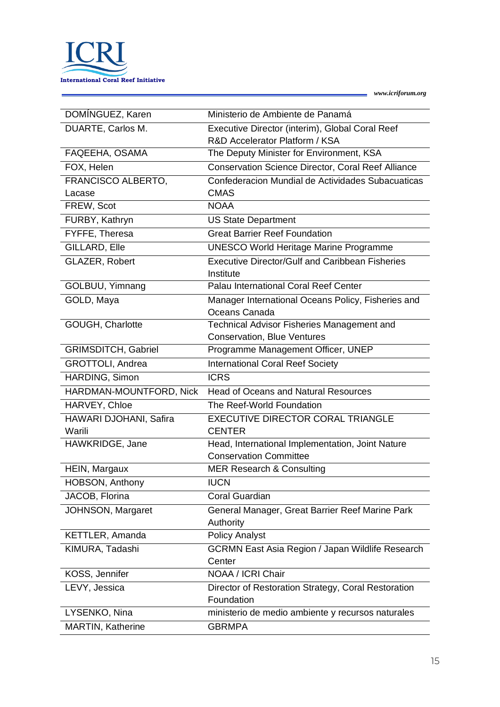

L

| DOMÍNGUEZ, Karen           | Ministerio de Ambiente de Panamá                          |
|----------------------------|-----------------------------------------------------------|
| DUARTE, Carlos M.          | Executive Director (interim), Global Coral Reef           |
|                            | R&D Accelerator Platform / KSA                            |
| FAQEEHA, OSAMA             | The Deputy Minister for Environment, KSA                  |
| FOX, Helen                 | <b>Conservation Science Director, Coral Reef Alliance</b> |
| FRANCISCO ALBERTO,         | Confederacion Mundial de Actividades Subacuaticas         |
| Lacase                     | <b>CMAS</b>                                               |
| FREW, Scot                 | <b>NOAA</b>                                               |
| FURBY, Kathryn             | <b>US State Department</b>                                |
| FYFFE, Theresa             | <b>Great Barrier Reef Foundation</b>                      |
| GILLARD, Elle              | <b>UNESCO World Heritage Marine Programme</b>             |
| GLAZER, Robert             | <b>Executive Director/Gulf and Caribbean Fisheries</b>    |
|                            | Institute                                                 |
| GOLBUU, Yimnang            | Palau International Coral Reef Center                     |
| GOLD, Maya                 | Manager International Oceans Policy, Fisheries and        |
|                            | Oceans Canada                                             |
| GOUGH, Charlotte           | <b>Technical Advisor Fisheries Management and</b>         |
|                            | <b>Conservation, Blue Ventures</b>                        |
| <b>GRIMSDITCH, Gabriel</b> | Programme Management Officer, UNEP                        |
| <b>GROTTOLI, Andrea</b>    | <b>International Coral Reef Society</b>                   |
| HARDING, Simon             | <b>ICRS</b>                                               |
| HARDMAN-MOUNTFORD, Nick    | <b>Head of Oceans and Natural Resources</b>               |
| HARVEY, Chloe              | The Reef-World Foundation                                 |
| HAWARI DJOHANI, Safira     | <b>EXECUTIVE DIRECTOR CORAL TRIANGLE</b>                  |
| Warili                     | <b>CENTER</b>                                             |
| HAWKRIDGE, Jane            | Head, International Implementation, Joint Nature          |
|                            | <b>Conservation Committee</b>                             |
| HEIN, Margaux              | <b>MER Research &amp; Consulting</b>                      |
| HOBSON, Anthony            | <b>IUCN</b>                                               |
| JACOB, Florina             | Coral Guardian                                            |
| JOHNSON, Margaret          | General Manager, Great Barrier Reef Marine Park           |
|                            | Authority                                                 |
| KETTLER, Amanda            | <b>Policy Analyst</b>                                     |
| KIMURA, Tadashi            | <b>GCRMN East Asia Region / Japan Wildlife Research</b>   |
|                            | Center                                                    |
| KOSS, Jennifer             | NOAA / ICRI Chair                                         |
| LEVY, Jessica              | Director of Restoration Strategy, Coral Restoration       |
|                            | Foundation                                                |
| LYSENKO, Nina              | ministerio de medio ambiente y recursos naturales         |
| <b>MARTIN, Katherine</b>   | <b>GBRMPA</b>                                             |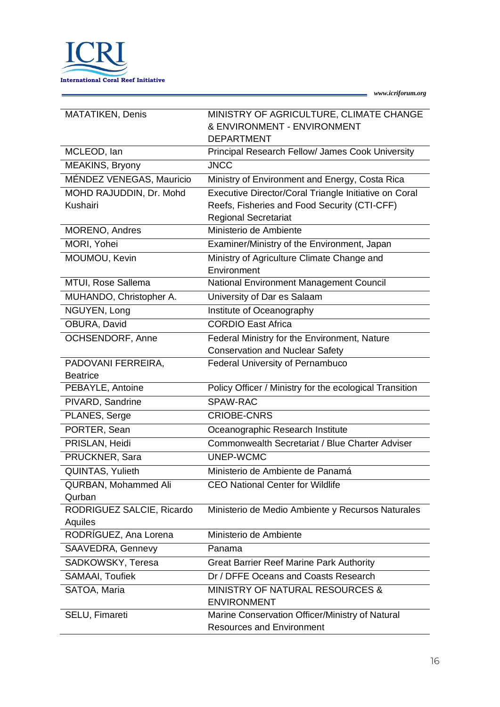

L

| <b>MATATIKEN, Denis</b>   | MINISTRY OF AGRICULTURE, CLIMATE CHANGE                 |
|---------------------------|---------------------------------------------------------|
|                           | & ENVIRONMENT - ENVIRONMENT                             |
|                           | <b>DEPARTMENT</b>                                       |
| MCLEOD, lan               | Principal Research Fellow/ James Cook University        |
| MEAKINS, Bryony           | <b>JNCC</b>                                             |
| MÉNDEZ VENEGAS, Mauricio  | Ministry of Environment and Energy, Costa Rica          |
| MOHD RAJUDDIN, Dr. Mohd   | Executive Director/Coral Triangle Initiative on Coral   |
| Kushairi                  | Reefs, Fisheries and Food Security (CTI-CFF)            |
|                           | <b>Regional Secretariat</b>                             |
| <b>MORENO, Andres</b>     | Ministerio de Ambiente                                  |
| MORI, Yohei               | Examiner/Ministry of the Environment, Japan             |
| MOUMOU, Kevin             | Ministry of Agriculture Climate Change and              |
|                           | Environment                                             |
| MTUI, Rose Sallema        | National Environment Management Council                 |
| MUHANDO, Christopher A.   | University of Dar es Salaam                             |
| NGUYEN, Long              | Institute of Oceanography                               |
| OBURA, David              | <b>CORDIO East Africa</b>                               |
| <b>OCHSENDORF, Anne</b>   | Federal Ministry for the Environment, Nature            |
|                           | <b>Conservation and Nuclear Safety</b>                  |
| PADOVANI FERREIRA,        | <b>Federal University of Pernambuco</b>                 |
| <b>Beatrice</b>           |                                                         |
| PEBAYLE, Antoine          | Policy Officer / Ministry for the ecological Transition |
| PIVARD, Sandrine          | SPAW-RAC                                                |
| PLANES, Serge             | <b>CRIOBE-CNRS</b>                                      |
| PORTER, Sean              | Oceanographic Research Institute                        |
| PRISLAN, Heidi            | Commonwealth Secretariat / Blue Charter Adviser         |
| PRUCKNER, Sara            | UNEP-WCMC                                               |
| QUINTAS, Yulieth          | Ministerio de Ambiente de Panamá                        |
| QURBAN, Mohammed Ali      | <b>CEO National Center for Wildlife</b>                 |
| Qurban                    |                                                         |
| RODRIGUEZ SALCIE, Ricardo | Ministerio de Medio Ambiente y Recursos Naturales       |
| Aquiles                   |                                                         |
| RODRÍGUEZ, Ana Lorena     | Ministerio de Ambiente                                  |
| SAAVEDRA, Gennevy         | Panama                                                  |
| SADKOWSKY, Teresa         | <b>Great Barrier Reef Marine Park Authority</b>         |
| SAMAAI, Toufiek           | Dr / DFFE Oceans and Coasts Research                    |
| SATOA, Maria              | <b>MINISTRY OF NATURAL RESOURCES &amp;</b>              |
|                           | <b>ENVIRONMENT</b>                                      |
| SELU, Fimareti            | Marine Conservation Officer/Ministry of Natural         |
|                           | <b>Resources and Environment</b>                        |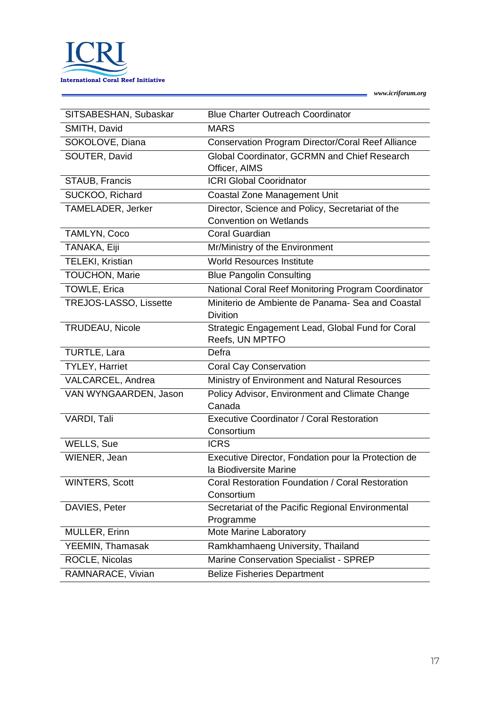

 $\overline{a}$ 

| SITSABESHAN, Subaskar         | <b>Blue Charter Outreach Coordinator</b>                                          |
|-------------------------------|-----------------------------------------------------------------------------------|
| SMITH, David                  | <b>MARS</b>                                                                       |
| SOKOLOVE, Diana               | Conservation Program Director/Coral Reef Alliance                                 |
| SOUTER, David                 | Global Coordinator, GCRMN and Chief Research                                      |
|                               | Officer, AIMS                                                                     |
| STAUB, Francis                | <b>ICRI Global Cooridnator</b>                                                    |
| SUCKOO, Richard               | <b>Coastal Zone Management Unit</b>                                               |
| TAMELADER, Jerker             | Director, Science and Policy, Secretariat of the<br><b>Convention on Wetlands</b> |
| TAMLYN, Coco                  | <b>Coral Guardian</b>                                                             |
| TANAKA, Eiji                  | Mr/Ministry of the Environment                                                    |
| TELEKI, Kristian              | <b>World Resources Institute</b>                                                  |
| <b>TOUCHON, Marie</b>         | <b>Blue Pangolin Consulting</b>                                                   |
| TOWLE, Erica                  | National Coral Reef Monitoring Program Coordinator                                |
| <b>TREJOS-LASSO, Lissette</b> | Miniterio de Ambiente de Panama- Sea and Coastal<br><b>Divition</b>               |
| <b>TRUDEAU, Nicole</b>        | Strategic Engagement Lead, Global Fund for Coral<br>Reefs, UN MPTFO               |
| TURTLE, Lara                  | Defra                                                                             |
| <b>TYLEY, Harriet</b>         | <b>Coral Cay Conservation</b>                                                     |
| VALCARCEL, Andrea             | Ministry of Environment and Natural Resources                                     |
|                               |                                                                                   |
| VAN WYNGAARDEN, Jason         | Policy Advisor, Environment and Climate Change<br>Canada                          |
| VARDI, Tali                   | <b>Executive Coordinator / Coral Restoration</b>                                  |
|                               | Consortium                                                                        |
| WELLS, Sue                    | <b>ICRS</b>                                                                       |
| WIENER, Jean                  | Executive Director, Fondation pour la Protection de                               |
|                               | la Biodiversite Marine                                                            |
| <b>WINTERS, Scott</b>         | Coral Restoration Foundation / Coral Restoration                                  |
|                               | Consortium                                                                        |
| DAVIES, Peter                 | Secretariat of the Pacific Regional Environmental<br>Programme                    |
| MULLER, Erinn                 | Mote Marine Laboratory                                                            |
| YEEMIN, Thamasak              | Ramkhamhaeng University, Thailand                                                 |
| ROCLE, Nicolas                | Marine Conservation Specialist - SPREP                                            |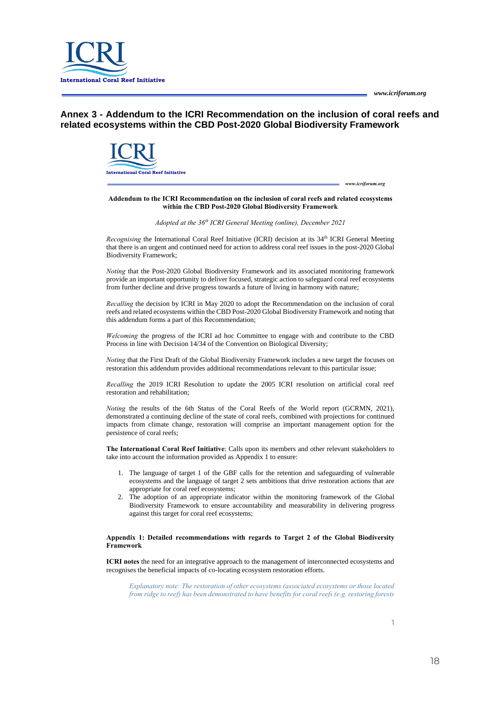*www.icriforum.org*



**Annex 3 - Addendum to the ICRI Recommendation on the inclusion of coral reefs and related ecosystems within the CBD Post-2020 Global Biodiversity Framework**



#### **Addendum to the ICRI Recommendation on the inclusion of coral reefs and related ecosystems within the CBD Post-2020 Global Biodiversity Framework**

*Adopted at the 36 th ICRI General Meeting (online), December 2021*

Recognising the International Coral Reef Initiative (ICRI) decision at its 34<sup>th</sup> ICRI General Meeting that there is an urgent and continued need for action to address coral reef issues in the post-2020 Global Biodiversity Framework;

*Noting* that the Post-2020 Global Biodiversity Framework and its associated monitoring framework provide an important opportunity to deliver focused, strategic action to safeguard coral reef ecosystems from further decline and drive progress towards a future of living in harmony with nature;

*Recalling* the decision by ICRI in May 2020 to adopt the Recommendation on the inclusion of coral reefs and related ecosystems within the CBD Post-2020 Global Biodiversity Framework and noting that this addendum forms a part of this Recommendation;

*Welcoming* the progress of the ICRI ad hoc Committee to engage with and contribute to the CBD Process in line with Decision 14/34 of the Convention on Biological Diversity;

*Noting* that the First Draft of the Global Biodiversity Framework includes a new target the focuses on restoration this addendum provides additional recommendations relevant to this particular issue;

*Recalling* the 2019 ICRI Resolution to update the 2005 ICRI resolution on artificial coral reef restoration and rehabilitation;

*Noting* the results of the 6th Status of the Coral Reefs of the World report (GCRMN, 2021), demonstrated a continuing decline of the state of coral reefs, combined with projections for continued impacts from climate change, restoration will comprise an important management option for the persistence of coral reefs;

**The International Coral Reef Initiative**: Calls upon its members and other relevant stakeholders to take into account the information provided as Appendix 1 to ensure:

- 1. The language of target 1 of the GBF calls for the retention and safeguarding of vulnerable ecosystems and the language of target 2 sets ambitions that drive restoration actions that are appropriate for coral reef ecosystems;
- 2. The adoption of an appropriate indicator within the monitoring framework of the Global Biodiversity Framework to ensure accountability and measurability in delivering progress against this target for coral reef ecosystems;

#### **Appendix 1: Detailed recommendations with regards to Target 2 of the Global Biodiversity Framework**

**ICRI notes** the need for an integrative approach to the management of interconnected ecosystems and recognises the beneficial impacts of co-locating ecosystem restoration efforts.

*Explanatory note: The restoration of other ecosystems (associated ecosystems or those located from ridge to reef) has been demonstrated to have benefits for coral reefs (e.g. restoring forests*

1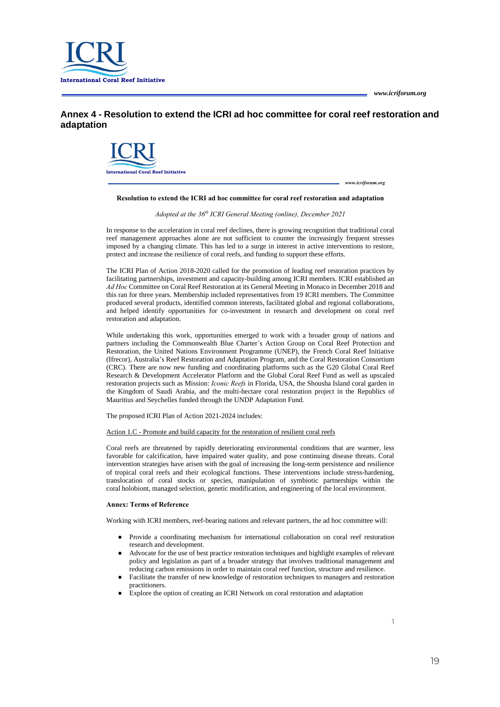

**Annex 4 - Resolution to extend the ICRI ad hoc committee for coral reef restoration and adaptation**



*www.icriforum.org*

#### **Resolution to extend the ICRI ad hoc committee for coral reef restoration and adaptation**

*Adopted at the 36 th ICRI General Meeting (online), December 2021*

In response to the acceleration in coral reef declines, there is growing recognition that traditional coral reef management approaches alone are not sufficient to counter the increasingly frequent stresses imposed by a changing climate. This has led to a surge in interest in active interventions to restore, protect and increase the resilience of coral reefs, and funding to support these efforts.

The ICRI Plan of Action 2018-2020 called for the promotion of leading reef restoration practices by facilitating partnerships, investment and capacity-building among ICRI members. ICRI established an *Ad Hoc* Committee on Coral Reef Restoration at its General Meeting in Monaco in December 2018 and this ran for three years. Membership included representatives from 19 ICRI members. The Committee produced several products, identified common interests, facilitated global and regional collaborations, and helped identify opportunities for co-investment in research and development on coral reef restoration and adaptation.

While undertaking this work, opportunities emerged to work with a broader group of nations and partners including the Commonwealth Blue Charter´s Action Group on Coral Reef Protection and Restoration, the United Nations Environment Programme (UNEP), the French Coral Reef Initiative (Ifrecor), Australia's Reef Restoration and Adaptation Program, and the Coral Restoration Consortium (CRC). There are now new funding and coordinating platforms such as the G20 Global Coral Reef Research & Development Accelerator Platform and the Global Coral Reef Fund as well as upscaled restoration projects such as Mission: *Iconic Reefs* in Florida, USA, the Shousha Island coral garden in the Kingdom of Saudi Arabia, and the multi-hectare coral restoration project in the Republics of Mauritius and Seychelles funded through the UNDP Adaptation Fund.

The proposed ICRI Plan of Action 2021-2024 includes:

Action 1.C - Promote and build capacity for the restoration of resilient coral reefs

Coral reefs are threatened by rapidly deteriorating environmental conditions that are warmer, less favorable for calcification, have impaired water quality, and pose continuing disease threats. Coral intervention strategies have arisen with the goal of increasing the long-term persistence and resilience of tropical coral reefs and their ecological functions. These interventions include stress-hardening, translocation of coral stocks or species, manipulation of symbiotic partnerships within the coral holobiont, managed selection, genetic modification, and engineering of the local environment.

#### **Annex: Terms of Reference**

Working with ICRI members, reef-bearing nations and relevant partners, the ad hoc committee will:

- Provide a coordinating mechanism for international collaboration on coral reef restoration research and development.
- Advocate for the use of best practice restoration techniques and highlight examples of relevant policy and legislation as part of a broader strategy that involves traditional management and reducing carbon emissions in order to maintain coral reef function, structure and resilience.
- Facilitate the transfer of new knowledge of restoration techniques to managers and restoration practitioners.
- Explore the option of creating an ICRI Network on coral restoration and adaptation

1